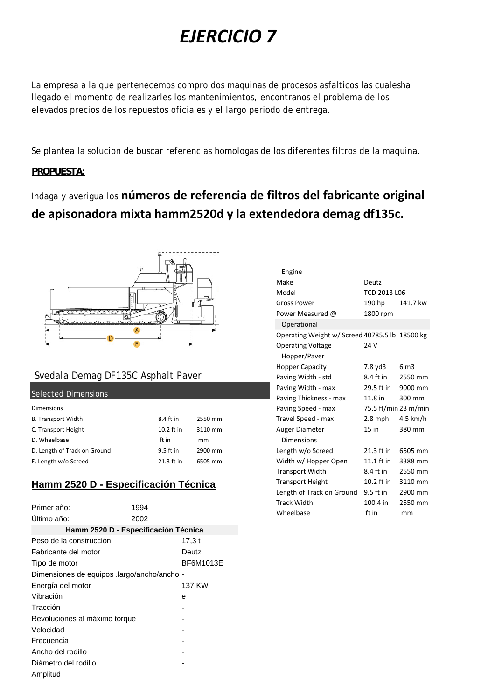# *EJERCICIO 7*

La empresa a la que pertenecemos compro dos maquinas de procesos asfalticos las cualesha llegado el momento de realizarles los mantenimientos, encontranos el problema de los elevados precios de los repuestos oficiales y el largo periodo de entrega.

Se plantea la solucion de buscar referencias homologas de los diferentes filtros de la maquina.

#### **PROPUESTA:**

# Indaga y averigua los **números de referencia de filtros del fabricante original de apisonadora mixta hamm2520d y la extendedora demag df135c.**



### Svedala Demag DF135C Asphalt Paver

#### Selected Dimensions

| <b>Dimensions</b>            |              |         |
|------------------------------|--------------|---------|
| <b>B. Transport Width</b>    | 8.4 ft in    | 2550 mm |
| C. Transport Height          | $10.2$ ft in | 3110 mm |
| D. Wheelbase                 | ft in        | mm      |
| D. Length of Track on Ground | $9.5$ ft in  | 2900 mm |
| E. Length w/o Screed         | 21.3 ft in   | 6505 mm |

## **Hamm 2520 D - Especificación Técnica**

| Primer año:                                 | 1994 |           |  |
|---------------------------------------------|------|-----------|--|
| Ultimo año:                                 | 2002 |           |  |
| Hamm 2520 D - Especificación Técnica        |      |           |  |
| Peso de la construcción                     |      | 17,3 t    |  |
| Fabricante del motor                        |      | Deutz     |  |
| Tipo de motor                               |      | BF6M1013E |  |
| Dimensiones de equipos .largo/ancho/ancho - |      |           |  |
| Energía del motor                           |      | 137 KW    |  |
| Vibración                                   |      | е         |  |
| Tracción                                    |      |           |  |
| Revoluciones al máximo torque               |      |           |  |
| Velocidad                                   |      |           |  |
| Frecuencia                                  |      |           |  |
| Ancho del rodillo                           |      |           |  |
| Diámetro del rodillo                        |      |           |  |
| Amplitud                                    |      |           |  |

| Engine                                         |                      |                 |
|------------------------------------------------|----------------------|-----------------|
| Make                                           | Deutz                |                 |
| Model                                          | TCD 2013 L06         |                 |
| <b>Gross Power</b>                             | 190 hp               | 141.7 kw        |
| Power Measured @                               | 1800 rpm             |                 |
| Operational                                    |                      |                 |
| Operating Weight w/ Screed 40785.5 lb 18500 kg |                      |                 |
| <b>Operating Voltage</b>                       | 24 V                 |                 |
| Hopper/Paver                                   |                      |                 |
| <b>Hopper Capacity</b>                         | 7.8 yd3              | 6 <sub>m3</sub> |
| Paving Width - std                             | 8.4 ft in            | 2550 mm         |
| Paving Width - max                             | 29.5 ft in           | 9000 mm         |
| Paving Thickness - max                         | $11.8$ in            | 300 mm          |
| Paving Speed - max                             | 75.5 ft/min 23 m/min |                 |
| Travel Speed - max                             | 2.8 mph              | $4.5$ km/h      |
| Auger Diameter                                 | 15 in                | 380 mm          |
| Dimensions                                     |                      |                 |
| Length w/o Screed                              | 21.3 ft in           | 6505 mm         |
| Width w/ Hopper Open                           | 11.1 ft in           | 3388 mm         |
| <b>Transport Width</b>                         | 8.4 ft in            | 2550 mm         |
| <b>Transport Height</b>                        | 10.2 ft in           | 3110 mm         |
| Length of Track on Ground                      | 9.5 ft in            | 2900 mm         |
| <b>Track Width</b>                             | 100.4 in             | 2550 mm         |
| Wheelbase                                      | ft in                | mm              |